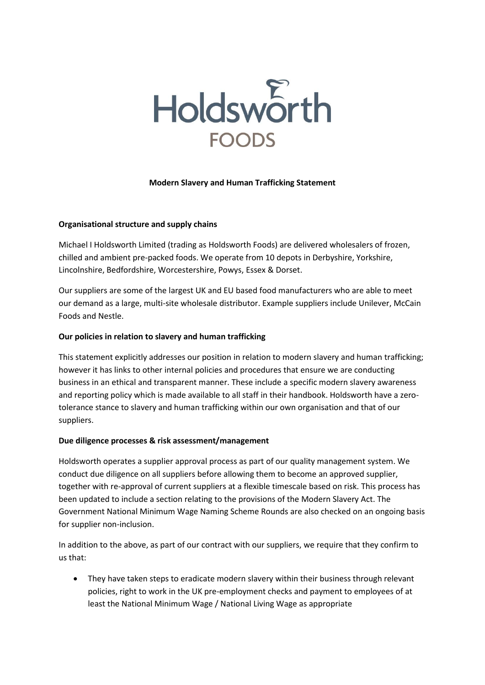

### **Modern Slavery and Human Trafficking Statement**

### **Organisational structure and supply chains**

Michael I Holdsworth Limited (trading as Holdsworth Foods) are delivered wholesalers of frozen, chilled and ambient pre-packed foods. We operate from 10 depots in Derbyshire, Yorkshire, Lincolnshire, Bedfordshire, Worcestershire, Powys, Essex & Dorset.

Our suppliers are some of the largest UK and EU based food manufacturers who are able to meet our demand as a large, multi-site wholesale distributor. Example suppliers include Unilever, McCain Foods and Nestle.

# **Our policies in relation to slavery and human trafficking**

This statement explicitly addresses our position in relation to modern slavery and human trafficking; however it has links to other internal policies and procedures that ensure we are conducting business in an ethical and transparent manner. These include a specific modern slavery awareness and reporting policy which is made available to all staff in their handbook. Holdsworth have a zerotolerance stance to slavery and human trafficking within our own organisation and that of our suppliers.

### **Due diligence processes & risk assessment/management**

Holdsworth operates a supplier approval process as part of our quality management system. We conduct due diligence on all suppliers before allowing them to become an approved supplier, together with re-approval of current suppliers at a flexible timescale based on risk. This process has been updated to include a section relating to the provisions of the Modern Slavery Act. The Government National Minimum Wage Naming Scheme Rounds are also checked on an ongoing basis for supplier non-inclusion.

In addition to the above, as part of our contract with our suppliers, we require that they confirm to us that:

 They have taken steps to eradicate modern slavery within their business through relevant policies, right to work in the UK pre-employment checks and payment to employees of at least the National Minimum Wage / National Living Wage as appropriate